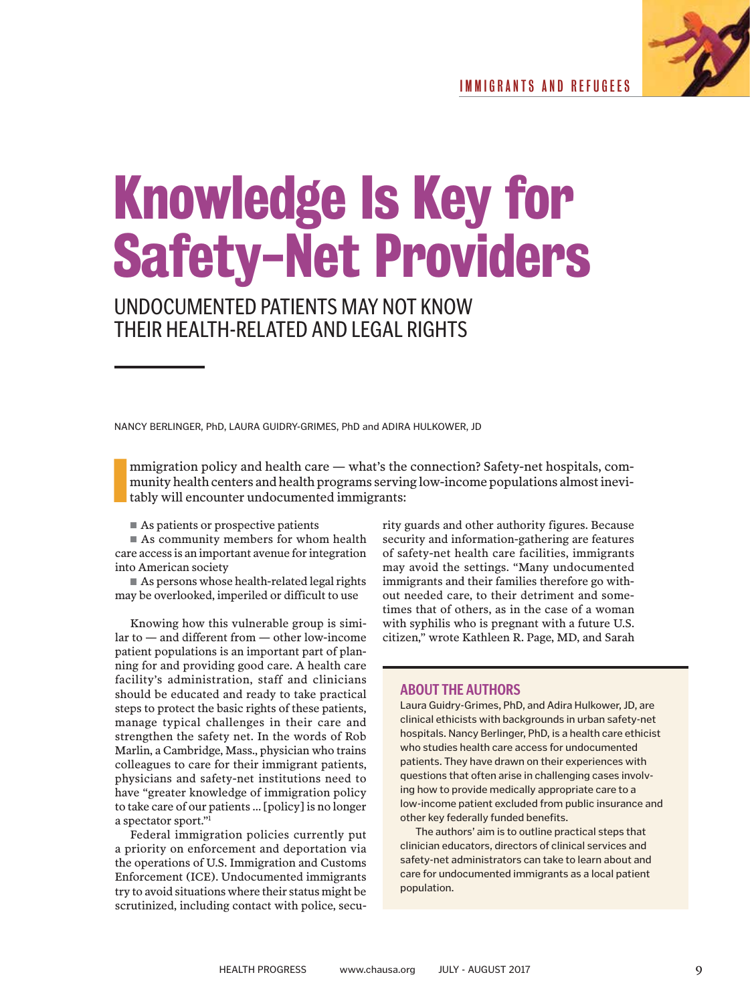### IMMIGRANTS AND REFUGEES



# **Knowledge Is Key for Safety-Net Providers**

UNDOCUMENTED PATIENTS MAY NOT KNOW THEIR HEALTH-RELATED AND LEGAL RIGHTS

NANCY BERLINGER, PhD, LAURA GUIDRY-GRIMES, PhD and ADIRA HULKOWER, JD

**I** mmigration policy and health care — what's the connection? Safety-net hospitals, community health centers and health programs serving low-income populations almost inevitably will encounter undocumented immigrants:

■ As patients or prospective patients

As community members for whom health care access is an important avenue for integration into American society

As persons whose health-related legal rights may be overlooked, imperiled or difficult to use

Knowing how this vulnerable group is similar to — and different from — other low-income patient populations is an important part of planning for and providing good care. A health care facility's administration, staff and clinicians should be educated and ready to take practical steps to protect the basic rights of these patients, manage typical challenges in their care and strengthen the safety net. In the words of Rob Marlin, a Cambridge, Mass., physician who trains colleagues to care for their immigrant patients, physicians and safety-net institutions need to have "greater knowledge of immigration policy to take care of our patients … [policy] is no longer a spectator sport."1

Federal immigration policies currently put a priority on enforcement and deportation via the operations of U.S. Immigration and Customs Enforcement (ICE). Undocumented immigrants try to avoid situations where their status might be scrutinized, including contact with police, security guards and other authority figures. Because security and information-gathering are features of safety-net health care facilities, immigrants may avoid the settings. "Many undocumented immigrants and their families therefore go without needed care, to their detriment and sometimes that of others, as in the case of a woman with syphilis who is pregnant with a future U.S. citizen," wrote Kathleen R. Page, MD, and Sarah

#### **ABOUT THE AUTHORS**

Laura Guidry-Grimes, PhD, and Adira Hulkower, JD, are clinical ethicists with backgrounds in urban safety-net hospitals. Nancy Berlinger, PhD, is a health care ethicist who studies health care access for undocumented patients. They have drawn on their experiences with questions that often arise in challenging cases involving how to provide medically appropriate care to a low-income patient excluded from public insurance and other key federally funded benefits.

The authors' aim is to outline practical steps that clinician educators, directors of clinical services and safety-net administrators can take to learn about and care for undocumented immigrants as a local patient population.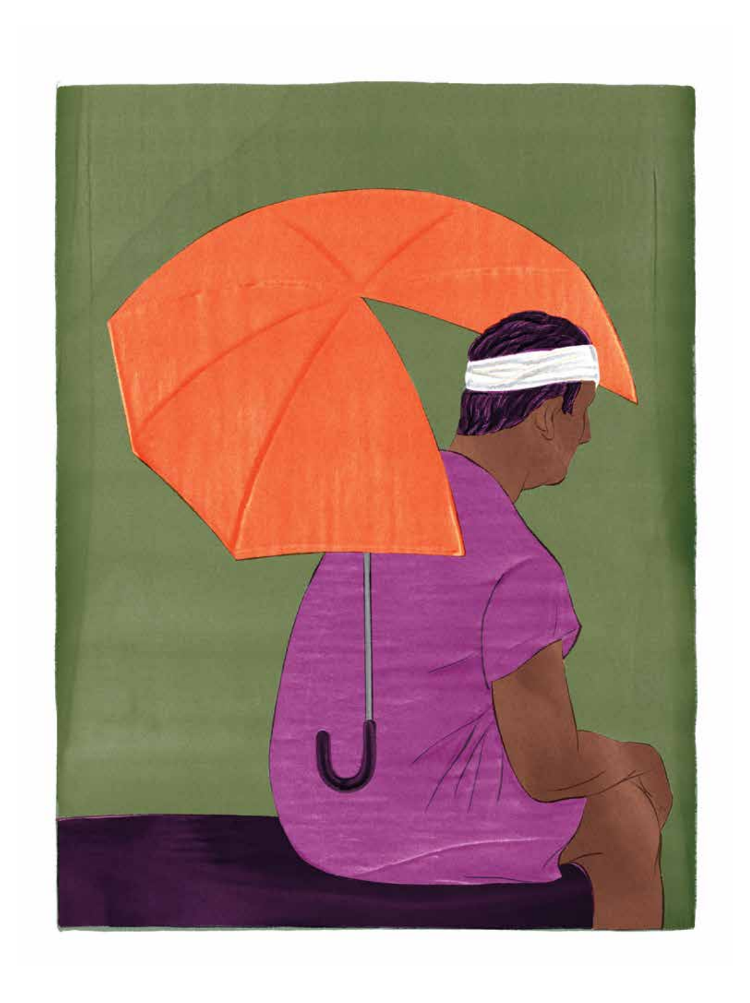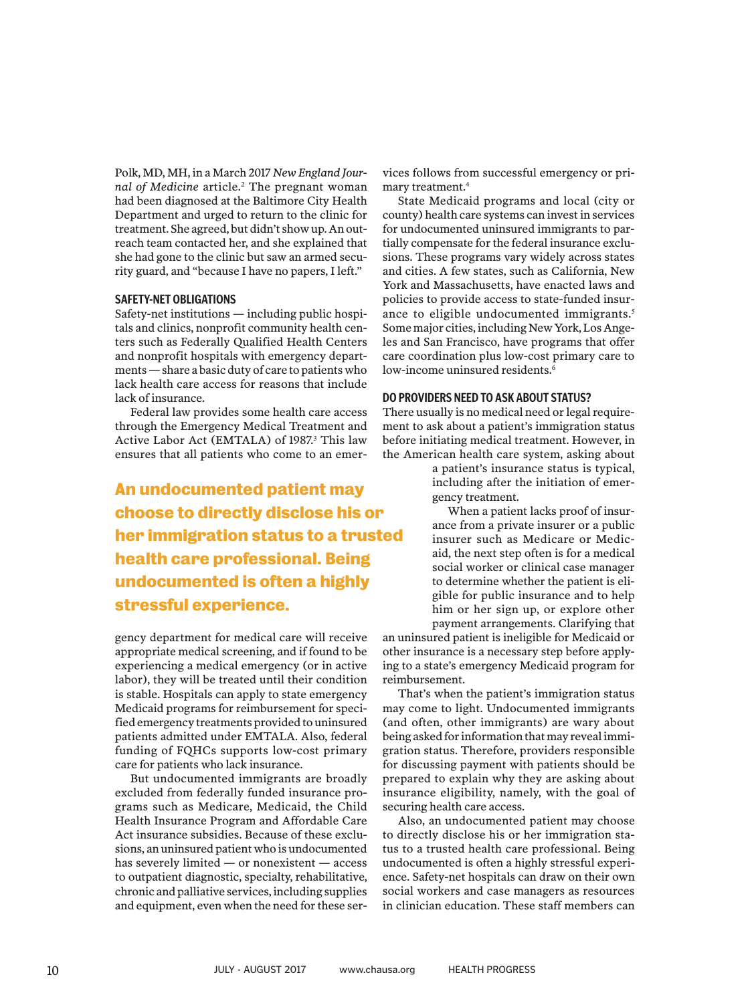Polk, MD, MH, in a March 2017 *New England Journal of Medicine* article.2 The pregnant woman had been diagnosed at the Baltimore City Health Department and urged to return to the clinic for treatment. She agreed, but didn't show up. An outreach team contacted her, and she explained that she had gone to the clinic but saw an armed security guard, and "because I have no papers, I left."

#### **SAFETY-NET OBLIGATIONS**

Safety-net institutions — including public hospitals and clinics, nonprofit community health centers such as Federally Qualified Health Centers and nonprofit hospitals with emergency departments — share a basic duty of care to patients who lack health care access for reasons that include lack of insurance.

Federal law provides some health care access through the Emergency Medical Treatment and Active Labor Act (EMTALA) of 1987.<sup>3</sup> This law ensures that all patients who come to an emer-

**An undocumented patient may choose to directly disclose his or her immigration status to a trusted health care professional. Being undocumented is often a highly stressful experience.** 

gency department for medical care will receive appropriate medical screening, and if found to be experiencing a medical emergency (or in active labor), they will be treated until their condition is stable. Hospitals can apply to state emergency Medicaid programs for reimbursement for specified emergency treatments provided to uninsured patients admitted under EMTALA. Also, federal funding of FQHCs supports low-cost primary care for patients who lack insurance.

But undocumented immigrants are broadly excluded from federally funded insurance programs such as Medicare, Medicaid, the Child Health Insurance Program and Affordable Care Act insurance subsidies. Because of these exclusions, an uninsured patient who is undocumented has severely limited — or nonexistent — access to outpatient diagnostic, specialty, rehabilitative, chronic and palliative services, including supplies and equipment, even when the need for these ser-

vices follows from successful emergency or primary treatment.4

State Medicaid programs and local (city or county) health care systems can invest in services for undocumented uninsured immigrants to partially compensate for the federal insurance exclusions. These programs vary widely across states and cities. A few states, such as California, New York and Massachusetts, have enacted laws and policies to provide access to state-funded insurance to eligible undocumented immigrants.<sup>5</sup> Some major cities, including New York, Los Angeles and San Francisco, have programs that offer care coordination plus low-cost primary care to low-income uninsured residents.<sup>6</sup>

#### **DO PROVIDERS NEED TO ASK ABOUT STATUS?**

There usually is no medical need or legal requirement to ask about a patient's immigration status before initiating medical treatment. However, in the American health care system, asking about

> a patient's insurance status is typical, including after the initiation of emergency treatment.

> When a patient lacks proof of insurance from a private insurer or a public insurer such as Medicare or Medicaid, the next step often is for a medical social worker or clinical case manager to determine whether the patient is eligible for public insurance and to help him or her sign up, or explore other payment arrangements. Clarifying that

an uninsured patient is ineligible for Medicaid or other insurance is a necessary step before applying to a state's emergency Medicaid program for reimbursement.

That's when the patient's immigration status may come to light. Undocumented immigrants (and often, other immigrants) are wary about being asked for information that may reveal immigration status. Therefore, providers responsible for discussing payment with patients should be prepared to explain why they are asking about insurance eligibility, namely, with the goal of securing health care access.

Also, an undocumented patient may choose to directly disclose his or her immigration status to a trusted health care professional. Being undocumented is often a highly stressful experience. Safety-net hospitals can draw on their own social workers and case managers as resources in clinician education. These staff members can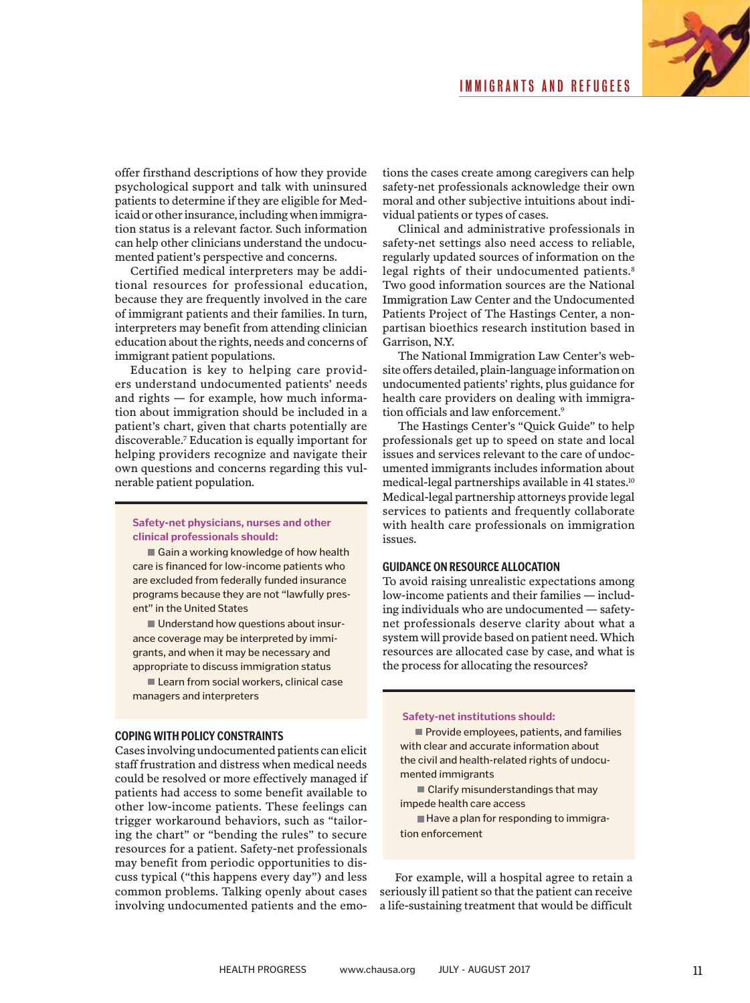

offer firsthand descriptions of how they provide psychological support and talk with uninsured patients to determine if they are eligible for Medicaid or other insurance, including when immigration status is a relevant factor. Such information can help other clinicians understand the undocumented patient's perspective and concerns.

Certified medical interpreters may be additional resources for professional education, because they are frequently involved in the care of immigrant patients and their families. In turn, interpreters may benefit from attending clinician education about the rights, needs and concerns of immigrant patient populations.

Education is key to helping care providers understand undocumented patients' needs and rights — for example, how much information about immigration should be included in a patient's chart, given that charts potentially are discoverable.7 Education is equally important for helping providers recognize and navigate their own questions and concerns regarding this vulnerable patient population.

#### **Safety-net physicians, nurses and other clinical professionals should:**

Gain a working knowledge of how health care is financed for low-income patients who are excluded from federally funded insurance programs because they are not "lawfully present" in the United States

**Understand how questions about insur**ance coverage may be interpreted by immigrants, and when it may be necessary and appropriate to discuss immigration status

Learn from social workers, clinical case managers and interpreters

#### **COPING WITH POLICY CONSTRAINTS**

Cases involving undocumented patients can elicit staff frustration and distress when medical needs could be resolved or more effectively managed if patients had access to some benefit available to other low-income patients. These feelings can trigger workaround behaviors, such as "tailoring the chart" or "bending the rules" to secure resources for a patient. Safety-net professionals may benefit from periodic opportunities to discuss typical ("this happens every day") and less common problems. Talking openly about cases involving undocumented patients and the emotions the cases create among caregivers can help safety-net professionals acknowledge their own moral and other subjective intuitions about individual patients or types of cases.

Clinical and administrative professionals in safety-net settings also need access to reliable, regularly updated sources of information on the legal rights of their undocumented patients.<sup>8</sup> Two good information sources are the National Immigration Law Center and the Undocumented Patients Project of The Hastings Center, a nonpartisan bioethics research institution based in Garrison, N.Y.

The National Immigration Law Center's website offers detailed, plain-language information on undocumented patients' rights, plus guidance for health care providers on dealing with immigration officials and law enforcement.9

The Hastings Center's "Quick Guide" to help professionals get up to speed on state and local issues and services relevant to the care of undocumented immigrants includes information about medical-legal partnerships available in 41 states.<sup>10</sup> Medical-legal partnership attorneys provide legal services to patients and frequently collaborate with health care professionals on immigration issues.

#### **GUIDANCE ON RESOURCE ALLOCATION**

To avoid raising unrealistic expectations among low-income patients and their families — including individuals who are undocumented — safetynet professionals deserve clarity about what a system will provide based on patient need. Which resources are allocated case by case, and what is the process for allocating the resources?

#### **Safety-net institutions should:**

Provide employees, patients, and families with clear and accurate information about the civil and health-related rights of undocumented immigrants

■ Clarify misunderstandings that may impede health care access

Have a plan for responding to immigration enforcement

For example, will a hospital agree to retain a seriously ill patient so that the patient can receive a life-sustaining treatment that would be difficult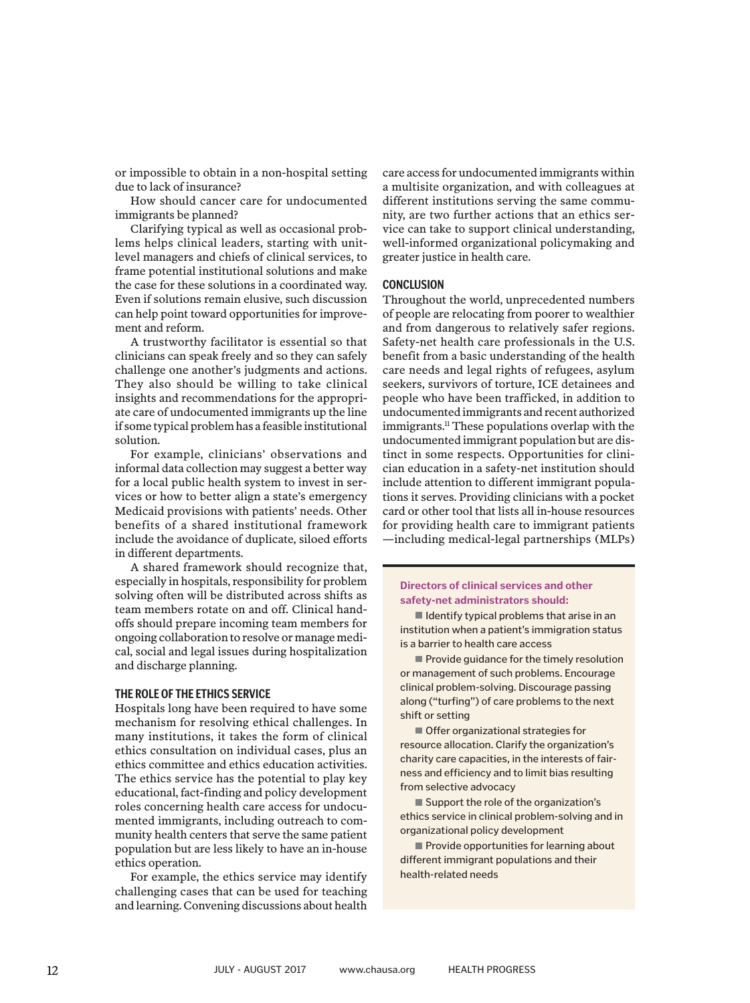or impossible to obtain in a non-hospital setting due to lack of insurance?

How should cancer care for undocumented immigrants be planned?

Clarifying typical as well as occasional problems helps clinical leaders, starting with unitlevel managers and chiefs of clinical services, to frame potential institutional solutions and make the case for these solutions in a coordinated way. Even if solutions remain elusive, such discussion can help point toward opportunities for improvement and reform.

A trustworthy facilitator is essential so that clinicians can speak freely and so they can safely challenge one another's judgments and actions. They also should be willing to take clinical insights and recommendations for the appropriate care of undocumented immigrants up the line if some typical problem has a feasible institutional solution.

For example, clinicians' observations and informal data collection may suggest a better way for a local public health system to invest in services or how to better align a state's emergency Medicaid provisions with patients' needs. Other benefits of a shared institutional framework include the avoidance of duplicate, siloed efforts in different departments.

A shared framework should recognize that, especially in hospitals, responsibility for problem solving often will be distributed across shifts as team members rotate on and off. Clinical handoffs should prepare incoming team members for ongoing collaboration to resolve or manage medical, social and legal issues during hospitalization and discharge planning.

#### **THE ROLE OF THE ETHICS SERVICE**

Hospitals long have been required to have some mechanism for resolving ethical challenges. In many institutions, it takes the form of clinical ethics consultation on individual cases, plus an ethics committee and ethics education activities. The ethics service has the potential to play key educational, fact-finding and policy development roles concerning health care access for undocumented immigrants, including outreach to community health centers that serve the same patient population but are less likely to have an in-house ethics operation.

For example, the ethics service may identify challenging cases that can be used for teaching and learning. Convening discussions about health

care access for undocumented immigrants within a multisite organization, and with colleagues at different institutions serving the same community, are two further actions that an ethics service can take to support clinical understanding, well-informed organizational policymaking and greater justice in health care.

#### **CONCLUSION**

Throughout the world, unprecedented numbers of people are relocating from poorer to wealthier and from dangerous to relatively safer regions. Safety-net health care professionals in the U.S. benefit from a basic understanding of the health care needs and legal rights of refugees, asylum seekers, survivors of torture, ICE detainees and people who have been trafficked, in addition to undocumented immigrants and recent authorized immigrants.<sup>11</sup> These populations overlap with the undocumented immigrant population but are distinct in some respects. Opportunities for clinician education in a safety-net institution should include attention to different immigrant populations it serves. Providing clinicians with a pocket card or other tool that lists all in-house resources for providing health care to immigrant patients —including medical-legal partnerships (MLPs)

#### **Directors of clinical services and other safety-net administrators should:**

 $\blacksquare$  Identify typical problems that arise in an institution when a patient's immigration status is a barrier to health care access

 $\blacksquare$  Provide guidance for the timely resolution or management of such problems. Encourage clinical problem-solving. Discourage passing along ("turfing") of care problems to the next shift or setting

■ Offer organizational strategies for resource allocation. Clarify the organization's charity care capacities, in the interests of fairness and efficiency and to limit bias resulting from selective advocacy

■ Support the role of the organization's ethics service in clinical problem-solving and in organizational policy development

 $\blacksquare$  Provide opportunities for learning about different immigrant populations and their health-related needs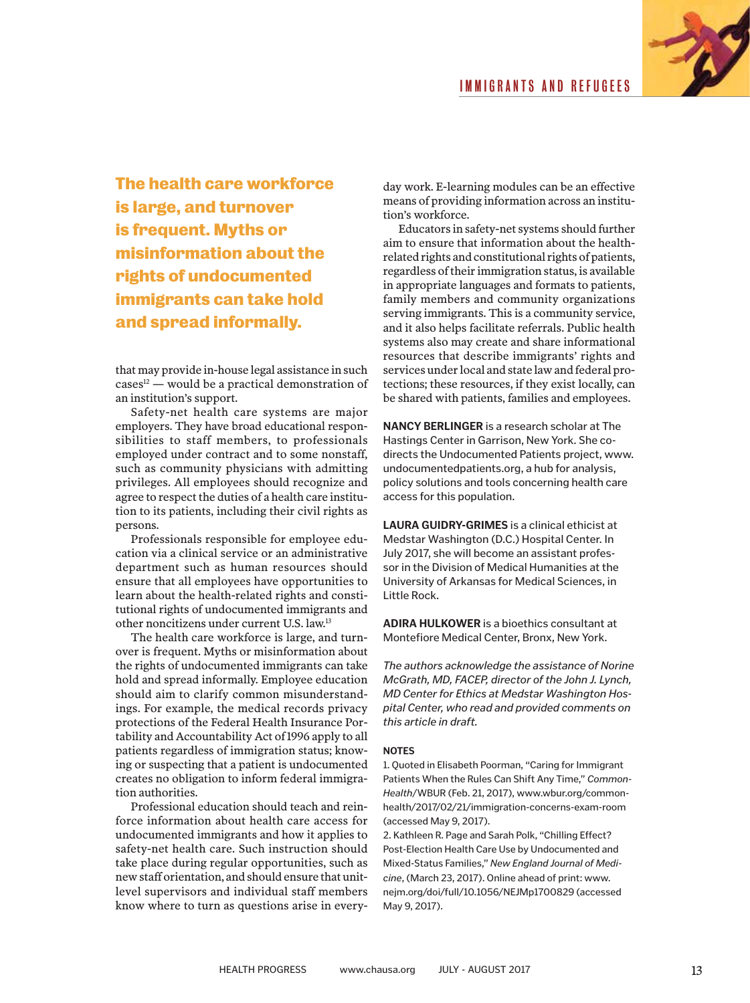

**The health care workforce is large, and turnover is frequent. Myths or misinformation about the rights of undocumented immigrants can take hold and spread informally.** 

that may provide in-house legal assistance in such  $\text{cases}^{12}$  — would be a practical demonstration of an institution's support.

Safety-net health care systems are major employers. They have broad educational responsibilities to staff members, to professionals employed under contract and to some nonstaff, such as community physicians with admitting privileges. All employees should recognize and agree to respect the duties of a health care institution to its patients, including their civil rights as persons.

Professionals responsible for employee education via a clinical service or an administrative department such as human resources should ensure that all employees have opportunities to learn about the health-related rights and constitutional rights of undocumented immigrants and other noncitizens under current U.S. law.13

The health care workforce is large, and turnover is frequent. Myths or misinformation about the rights of undocumented immigrants can take hold and spread informally. Employee education should aim to clarify common misunderstandings. For example, the medical records privacy protections of the Federal Health Insurance Portability and Accountability Act of 1996 apply to all patients regardless of immigration status; knowing or suspecting that a patient is undocumented creates no obligation to inform federal immigration authorities.

Professional education should teach and reinforce information about health care access for undocumented immigrants and how it applies to safety-net health care. Such instruction should take place during regular opportunities, such as new staff orientation, and should ensure that unitlevel supervisors and individual staff members know where to turn as questions arise in everyday work. E-learning modules can be an effective means of providing information across an institution's workforce.

Educators in safety-net systems should further aim to ensure that information about the healthrelated rights and constitutional rights of patients, regardless of their immigration status, is available in appropriate languages and formats to patients, family members and community organizations serving immigrants. This is a community service, and it also helps facilitate referrals. Public health systems also may create and share informational resources that describe immigrants' rights and services under local and state law and federal protections; these resources, if they exist locally, can be shared with patients, families and employees.

**NANCY BERLINGER** is a research scholar at The Hastings Center in Garrison, New York. She codirects the Undocumented Patients project, www. undocumentedpatients.org, a hub for analysis, policy solutions and tools concerning health care access for this population.

**LAURA GUIDRY-GRIMES** is a clinical ethicist at Medstar Washington (D.C.) Hospital Center. In July 2017, she will become an assistant professor in the Division of Medical Humanities at the University of Arkansas for Medical Sciences, in Little Rock.

**ADIRA HULKOWER** is a bioethics consultant at Montefiore Medical Center, Bronx, New York.

*The authors acknowledge the assistance of Norine McGrath, MD, FACEP, director of the John J. Lynch, MD Center for Ethics at Medstar Washington Hospital Center, who read and provided comments on this article in draft.*

#### **NOTES**

1. Quoted in Elisabeth Poorman, "Caring for Immigrant Patients When the Rules Can Shift Any Time," *Common-Health*/WBUR (Feb. 21, 2017), www.wbur.org/commonhealth/2017/02/21/immigration-concerns-exam-room (accessed May 9, 2017).

2. Kathleen R. Page and Sarah Polk, "Chilling Effect? Post-Election Health Care Use by Undocumented and Mixed-Status Families," *New England Journal of Medicine*, (March 23, 2017). Online ahead of print: www. nejm.org/doi/full/10.1056/NEJMp1700829 (accessed May 9, 2017).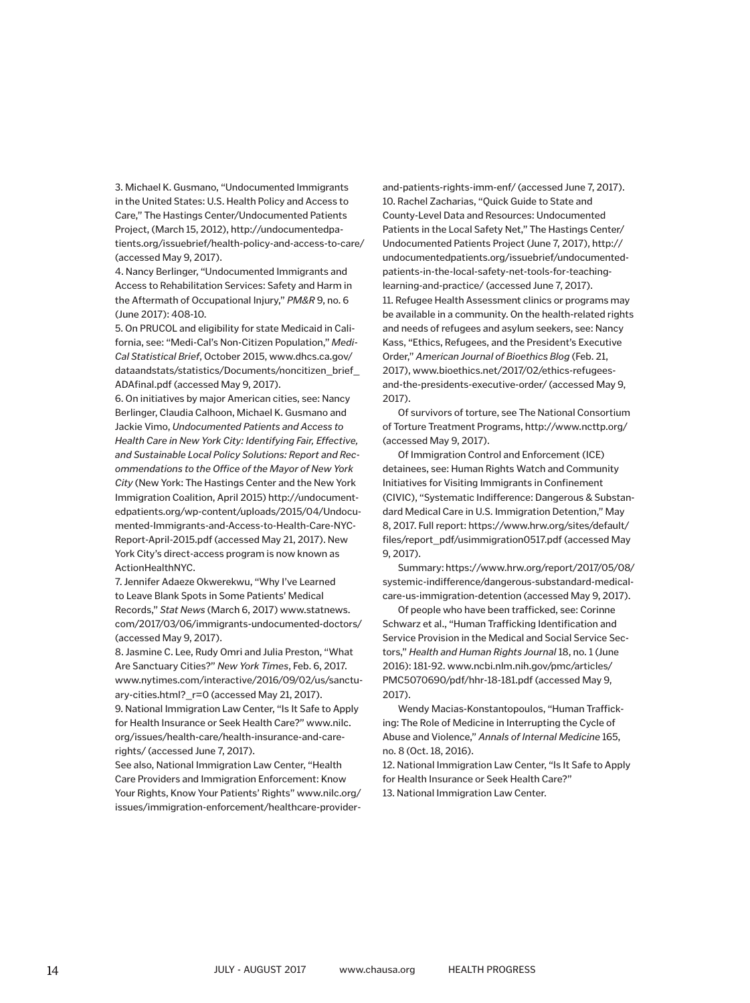3. Michael K. Gusmano, "Undocumented Immigrants in the United States: U.S. Health Policy and Access to Care," The Hastings Center/Undocumented Patients Project, (March 15, 2012), http://undocumentedpatients.org/issuebrief/health-policy-and-access-to-care/ (accessed May 9, 2017).

4. Nancy Berlinger, "Undocumented Immigrants and Access to Rehabilitation Services: Safety and Harm in the Aftermath of Occupational Injury," *PM&R* 9, no. 6 (June 2017): 408-10.

5. On PRUCOL and eligibility for state Medicaid in California, see: "Medi-Cal's Non-Citizen Population," *Medi-Cal Statistical Brief*, October 2015, www.dhcs.ca.gov/ dataandstats/statistics/Documents/noncitizen\_brief\_ ADAfinal.pdf (accessed May 9, 2017).

6. On initiatives by major American cities, see: Nancy Berlinger, Claudia Calhoon, Michael K. Gusmano and Jackie Vimo, *Undocumented Patients and Access to Health Care in New York City: Identifying Fair, Effective, and Sustainable Local Policy Solutions: Report and Recommendations to the Office of the Mayor of New York City* (New York: The Hastings Center and the New York Immigration Coalition, April 2015) http://undocumentedpatients.org/wp-content/uploads/2015/04/Undocumented-Immigrants-and-Access-to-Health-Care-NYC-Report-April-2015.pdf (accessed May 21, 2017). New York City's direct-access program is now known as ActionHealthNYC.

7. Jennifer Adaeze Okwerekwu, "Why I've Learned to Leave Blank Spots in Some Patients' Medical Records," *Stat News* (March 6, 2017) www.statnews. com/2017/03/06/immigrants-undocumented-doctors/ (accessed May 9, 2017).

8. Jasmine C. Lee, Rudy Omri and Julia Preston, "What Are Sanctuary Cities?" *New York Times*, Feb. 6, 2017. www.nytimes.com/interactive/2016/09/02/us/sanctuary-cities.html?\_r=0 (accessed May 21, 2017).

9. National Immigration Law Center, "Is It Safe to Apply for Health Insurance or Seek Health Care?" www.nilc. org/issues/health-care/health-insurance-and-carerights/ (accessed June 7, 2017).

See also, National Immigration Law Center, "Health Care Providers and Immigration Enforcement: Know Your Rights, Know Your Patients' Rights" www.nilc.org/ issues/immigration-enforcement/healthcare-providerand-patients-rights-imm-enf/ (accessed June 7, 2017). 10. Rachel Zacharias, "Quick Guide to State and County-Level Data and Resources: Undocumented Patients in the Local Safety Net," The Hastings Center/ Undocumented Patients Project (June 7, 2017), http:// undocumentedpatients.org/issuebrief/undocumentedpatients-in-the-local-safety-net-tools-for-teachinglearning-and-practice/ (accessed June 7, 2017). 11. Refugee Health Assessment clinics or programs may be available in a community. On the health-related rights and needs of refugees and asylum seekers, see: Nancy Kass, "Ethics, Refugees, and the President's Executive Order," *American Journal of Bioethics Blog* (Feb. 21, 2017), www.bioethics.net/2017/02/ethics-refugeesand-the-presidents-executive-order/ (accessed May 9, 2017).

Of survivors of torture, see The National Consortium of Torture Treatment Programs, http://www.ncttp.org/ (accessed May 9, 2017).

Of Immigration Control and Enforcement (ICE) detainees, see: Human Rights Watch and Community Initiatives for Visiting Immigrants in Confinement (CIVIC), "Systematic Indifference: Dangerous & Substandard Medical Care in U.S. Immigration Detention," May 8, 2017. Full report: https://www.hrw.org/sites/default/ files/report\_pdf/usimmigration0517.pdf (accessed May 9, 2017).

Summary: https://www.hrw.org/report/2017/05/08/ systemic-indifference/dangerous-substandard-medicalcare-us-immigration-detention (accessed May 9, 2017).

Of people who have been trafficked, see: Corinne Schwarz et al., "Human Trafficking Identification and Service Provision in the Medical and Social Service Sectors," *Health and Human Rights Journal* 18, no. 1 (June 2016): 181-92. www.ncbi.nlm.nih.gov/pmc/articles/ PMC5070690/pdf/hhr-18-181.pdf (accessed May 9, 2017).

Wendy Macias-Konstantopoulos, "Human Trafficking: The Role of Medicine in Interrupting the Cycle of Abuse and Violence," *Annals of Internal Medicine* 165, no. 8 (Oct. 18, 2016).

12. National Immigration Law Center, "Is It Safe to Apply for Health Insurance or Seek Health Care?" 13. National Immigration Law Center.